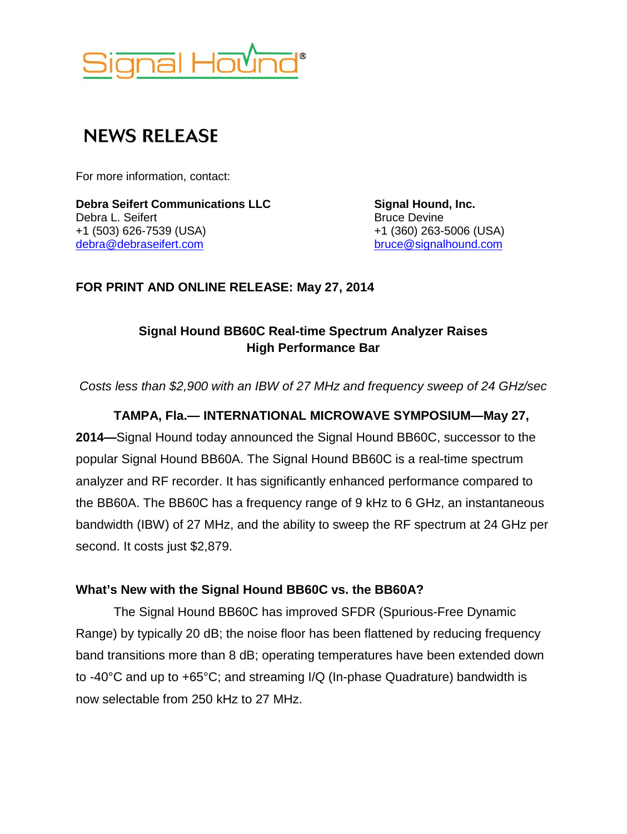

# **NEWS RELEASE**

For more information, contact:

**Debra Seifert Communications LLC Signal Hound, Inc.** Debra L. Seifert **Bruce Devine** Bruce Devine +1 (503) 626-7539 (USA) +1 (360) 263-5006 (USA) [debra@debraseifert.com](mailto:debra@debraseifert.com)

**FOR PRINT AND ONLINE RELEASE: May 27, 2014**

# **Signal Hound BB60C Real-time Spectrum Analyzer Raises High Performance Bar**

*Costs less than \$2,900 with an IBW of 27 MHz and frequency sweep of 24 GHz/sec*

## **TAMPA, Fla.— INTERNATIONAL MICROWAVE SYMPOSIUM—May 27,**

**2014—**Signal Hound today announced the Signal Hound BB60C, successor to the popular Signal Hound BB60A. The Signal Hound BB60C is a real-time spectrum analyzer and RF recorder. It has significantly enhanced performance compared to the BB60A. The BB60C has a frequency range of 9 kHz to 6 GHz, an instantaneous bandwidth (IBW) of 27 MHz, and the ability to sweep the RF spectrum at 24 GHz per second. It costs just \$2,879.

#### **What's New with the Signal Hound BB60C vs. the BB60A?**

The Signal Hound BB60C has improved SFDR (Spurious-Free Dynamic Range) by typically 20 dB; the noise floor has been flattened by reducing frequency band transitions more than 8 dB; operating temperatures have been extended down to -40°C and up to +65°C; and streaming I/Q (In-phase Quadrature) bandwidth is now selectable from 250 kHz to 27 MHz.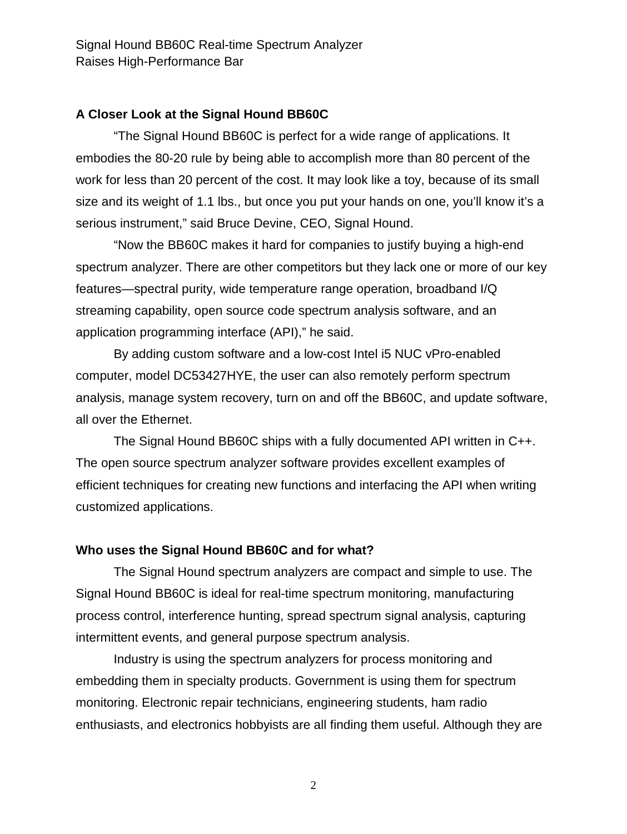#### **A Closer Look at the Signal Hound BB60C**

"The Signal Hound BB60C is perfect for a wide range of applications. It embodies the 80-20 rule by being able to accomplish more than 80 percent of the work for less than 20 percent of the cost. It may look like a toy, because of its small size and its weight of 1.1 lbs., but once you put your hands on one, you'll know it's a serious instrument," said Bruce Devine, CEO, Signal Hound.

"Now the BB60C makes it hard for companies to justify buying a high-end spectrum analyzer. There are other competitors but they lack one or more of our key features—spectral purity, wide temperature range operation, broadband I/Q streaming capability, open source code spectrum analysis software, and an application programming interface (API)," he said.

By adding custom software and a low-cost Intel i5 NUC vPro-enabled computer, model DC53427HYE, the user can also remotely perform spectrum analysis, manage system recovery, turn on and off the BB60C, and update software, all over the Ethernet.

The Signal Hound BB60C ships with a fully documented API written in C++. The open source spectrum analyzer software provides excellent examples of efficient techniques for creating new functions and interfacing the API when writing customized applications.

#### **Who uses the Signal Hound BB60C and for what?**

The Signal Hound spectrum analyzers are compact and simple to use. The Signal Hound BB60C is ideal for real-time spectrum monitoring, manufacturing process control, interference hunting, spread spectrum signal analysis, capturing intermittent events, and general purpose spectrum analysis.

Industry is using the spectrum analyzers for process monitoring and embedding them in specialty products. Government is using them for spectrum monitoring. Electronic repair technicians, engineering students, ham radio enthusiasts, and electronics hobbyists are all finding them useful. Although they are